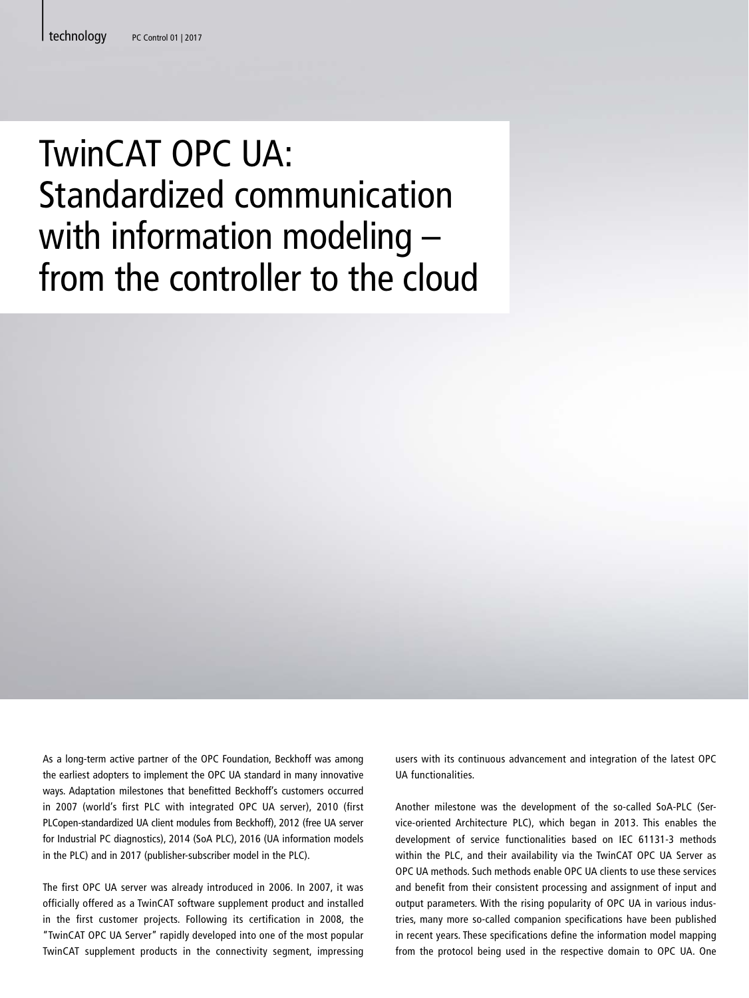## TwinCAT OPC UA: Standardized communication with information modeling – from the controller to the cloud

As a long-term active partner of the OPC Foundation, Beckhoff was among the earliest adopters to implement the OPC UA standard in many innovative ways. Adaptation milestones that benefitted Beckhoff's customers occurred in 2007 (world's first PLC with integrated OPC UA server), 2010 (first PLCopen-standardized UA client modules from Beckhoff), 2012 (free UA server for Industrial PC diagnostics), 2014 (SoA PLC), 2016 (UA information models in the PLC) and in 2017 (publisher-subscriber model in the PLC).

The first OPC UA server was already introduced in 2006. In 2007, it was officially offered as a TwinCAT software supplement product and installed in the first customer projects. Following its certification in 2008, the "TwinCAT OPC UA Server" rapidly developed into one of the most popular TwinCAT supplement products in the connectivity segment, impressing

users with its continuous advancement and integration of the latest OPC UA functionalities.

Another milestone was the development of the so-called SoA-PLC (Service-oriented Architecture PLC), which began in 2013. This enables the development of service functionalities based on IEC 61131-3 methods within the PLC, and their availability via the TwinCAT OPC UA Server as OPC UA methods. Such methods enable OPC UA clients to use these services and benefit from their consistent processing and assignment of input and output parameters. With the rising popularity of OPC UA in various industries, many more so-called companion specifications have been published in recent years. These specifications define the information model mapping from the protocol being used in the respective domain to OPC UA. One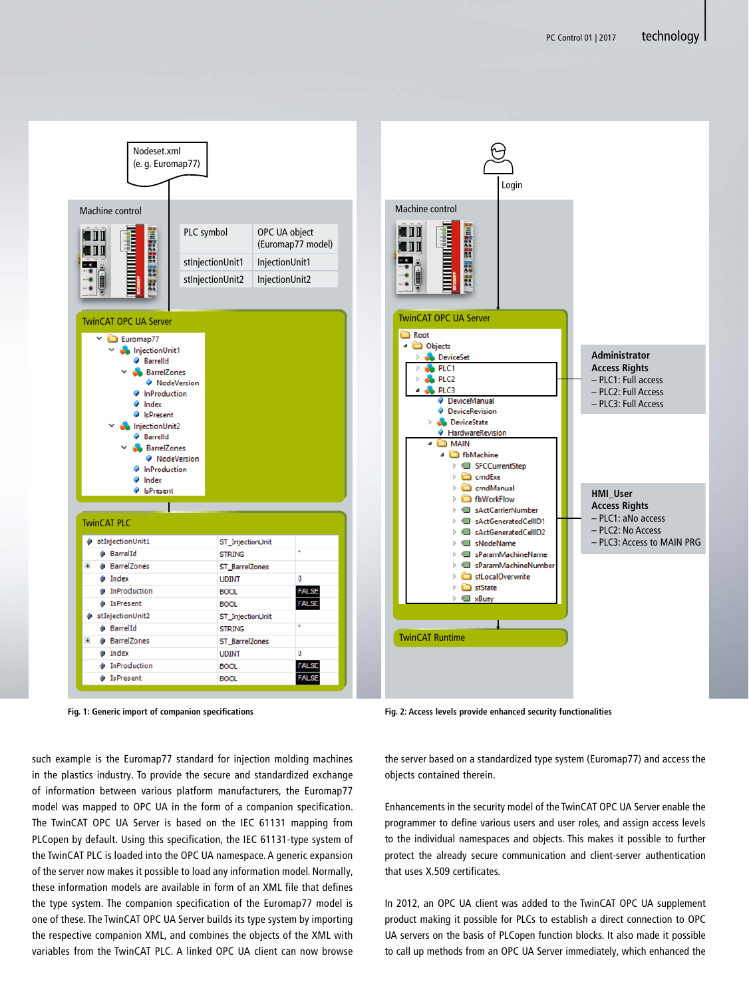

**Fig. 1: Generic import of companion specifications**

such example is the Euromap77 standard for injection molding machines in the plastics industry. To provide the secure and standardized exchange of information between various platform manufacturers, the Euromap77 model was mapped to OPC UA in the form of a companion specification. The TwinCAT OPC UA Server is based on the IEC 61131 mapping from PLCopen by default. Using this specification, the IEC 61131-type system of the TwinCAT PLC is loaded into the OPC UA namespace. A generic expansion of the server now makes it possible to load any information model. Normally, these information models are available in form of an XML file that defines the type system. The companion specification of the Euromap77 model is one of these. The TwinCAT OPC UA Server builds its type system by importing the respective companion XML, and combines the objects of the XML with variables from the TwinCAT PLC. A linked OPC UA client can now browse

**Fig. 2: Access levels provide enhanced security functionalities**

the server based on a standardized type system (Euromap77) and access the objects contained therein.

Enhancements in the security model of the TwinCAT OPC UA Server enable the programmer to define various users and user roles, and assign access levels to the individual namespaces and objects. This makes it possible to further protect the already secure communication and client-server authentication that uses X.509 certificates.

In 2012, an OPC UA client was added to the TwinCAT OPC UA supplement product making it possible for PLCs to establish a direct connection to OPC UA servers on the basis of PLCopen function blocks. It also made it possible to call up methods from an OPC UA Server immediately, which enhanced the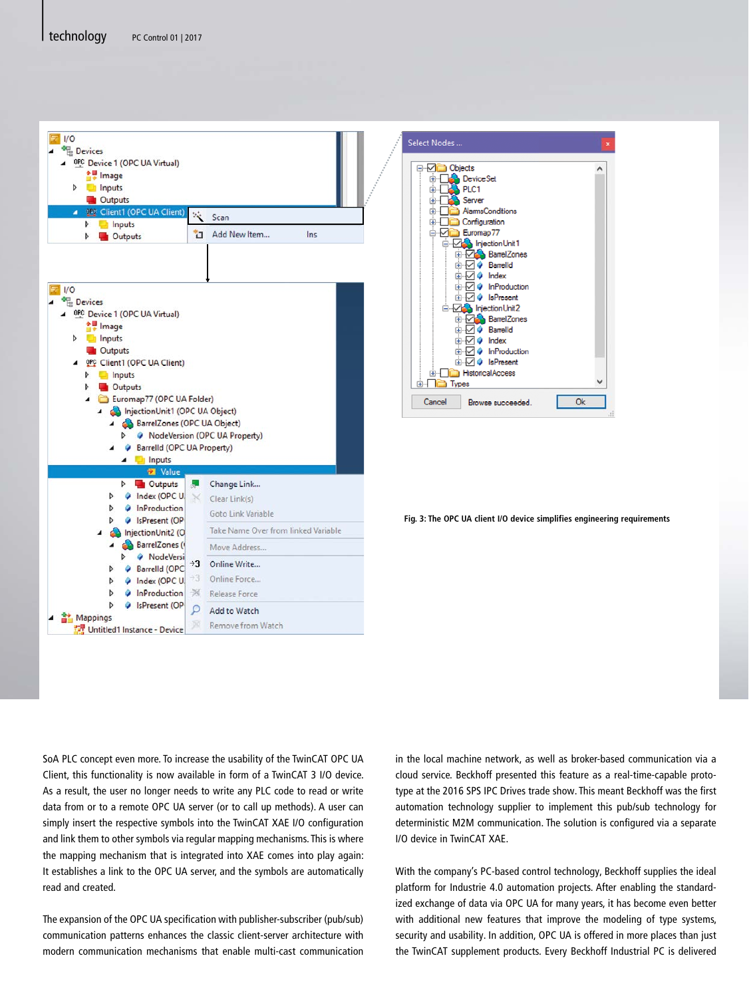



**Fig. 3: The OPC UA client I/O device simplifies engineering requirements**

SoA PLC concept even more. To increase the usability of the TwinCAT OPC UA Client, this functionality is now available in form of a TwinCAT 3 I/O device. As a result, the user no longer needs to write any PLC code to read or write data from or to a remote OPC UA server (or to call up methods). A user can simply insert the respective symbols into the TwinCAT XAE I/O configuration and link them to other symbols via regular mapping mechanisms. This is where the mapping mechanism that is integrated into XAE comes into play again: It establishes a link to the OPC UA server, and the symbols are automatically read and created.

The expansion of the OPC UA specification with publisher-subscriber (pub/sub) communication patterns enhances the classic client-server architecture with modern communication mechanisms that enable multi-cast communication in the local machine network, as well as broker-based communication via a cloud service. Beckhoff presented this feature as a real-time-capable prototype at the 2016 SPS IPC Drives trade show. This meant Beckhoff was the first automation technology supplier to implement this pub/sub technology for deterministic M2M communication. The solution is configured via a separate I/O device in TwinCAT XAE.

With the company's PC-based control technology, Beckhoff supplies the ideal platform for Industrie 4.0 automation projects. After enabling the standardized exchange of data via OPC UA for many years, it has become even better with additional new features that improve the modeling of type systems, security and usability. In addition, OPC UA is offered in more places than just the TwinCAT supplement products. Every Beckhoff Industrial PC is delivered